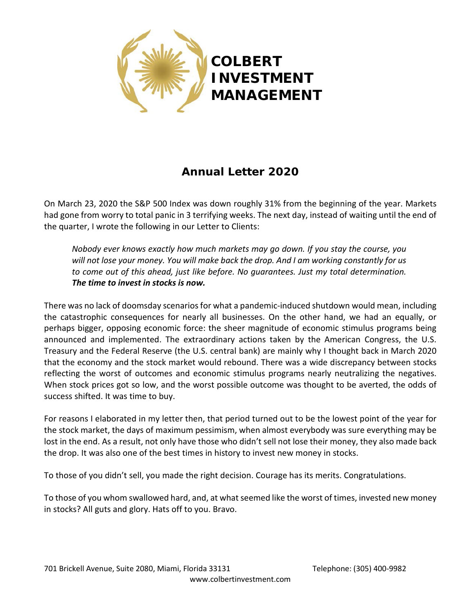

# **Annual Letter 2020**

On March 23, 2020 the S&P 500 Index was down roughly 31% from the beginning of the year. Markets had gone from worry to total panic in 3 terrifying weeks. The next day, instead of waiting until the end of the quarter, I wrote the following in our Letter to Clients:

*Nobody ever knows exactly how much markets may go down. If you stay the course, you will not lose your money. You will make back the drop. And I am working constantly for us to come out of this ahead, just like before. No guarantees. Just my total determination. The time to invest in stocks is now.*

There was no lack of doomsday scenarios for what a pandemic-induced shutdown would mean, including the catastrophic consequences for nearly all businesses. On the other hand, we had an equally, or perhaps bigger, opposing economic force: the sheer magnitude of economic stimulus programs being announced and implemented. The extraordinary actions taken by the American Congress, the U.S. Treasury and the Federal Reserve (the U.S. central bank) are mainly why I thought back in March 2020 that the economy and the stock market would rebound. There was a wide discrepancy between stocks reflecting the worst of outcomes and economic stimulus programs nearly neutralizing the negatives. When stock prices got so low, and the worst possible outcome was thought to be averted, the odds of success shifted. It was time to buy.

For reasons I elaborated in my letter then, that period turned out to be the lowest point of the year for the stock market, the days of maximum pessimism, when almost everybody was sure everything may be lost in the end. As a result, not only have those who didn't sell not lose their money, they also made back the drop. It was also one of the best times in history to invest new money in stocks.

To those of you didn't sell, you made the right decision. Courage has its merits. Congratulations.

To those of you whom swallowed hard, and, at what seemed like the worst of times, invested new money in stocks? All guts and glory. Hats off to you. Bravo.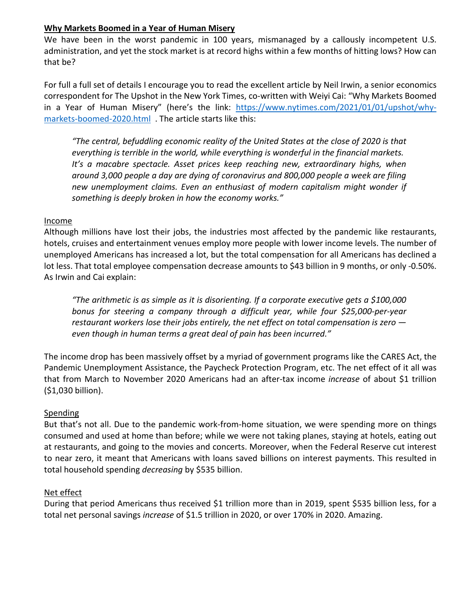## **Why Markets Boomed in a Year of Human Misery**

We have been in the worst pandemic in 100 years, mismanaged by a callously incompetent U.S. administration, and yet the stock market is at record highs within a few months of hitting lows? How can that be?

For full a full set of details I encourage you to read the excellent article by Neil Irwin, a senior economics correspondent for The Upshot in the New York Times, co-written with Weiyi Cai: "Why Markets Boomed in a Year of Human Misery" (here's the link: [https://www.nytimes.com/2021/01/01/upshot/why](https://www.nytimes.com/2021/01/01/upshot/why-markets-boomed-2020.html)[markets-boomed-2020.html](https://www.nytimes.com/2021/01/01/upshot/why-markets-boomed-2020.html) . The article starts like this:

*"The central, befuddling economic reality of the United States at the close of 2020 is that everything is terrible in the world, while everything is wonderful in the financial markets.* It's a macabre spectacle. Asset prices keep reaching new, extraordinary highs, when *around 3,000 people a day are dying of coronavirus and 800,000 people a week are filing new unemployment claims. Even an enthusiast of modern capitalism might wonder if something is deeply broken in how the economy works."*

#### Income

Although millions have lost their jobs, the industries most affected by the pandemic like restaurants, hotels, cruises and entertainment venues employ more people with lower income levels. The number of unemployed Americans has increased a lot, but the total compensation for all Americans has declined a lot less. That total employee compensation decrease amounts to \$43 billion in 9 months, or only -0.50%. As Irwin and Cai explain:

*"The arithmetic is as simple as it is disorienting. If a corporate executive gets a \$100,000 bonus for steering a company through a difficult year, while four \$25,000-per-year restaurant workers lose their jobs entirely, the net effect on total compensation is zero even though in human terms a great deal of pain has been incurred."*

The income drop has been massively offset by a myriad of government programs like the CARES Act, the Pandemic Unemployment Assistance, the Paycheck Protection Program, etc. The net effect of it all was that from March to November 2020 Americans had an after-tax income *increase* of about \$1 trillion (\$1,030 billion).

#### Spending

But that's not all. Due to the pandemic work-from-home situation, we were spending more on things consumed and used at home than before; while we were not taking planes, staying at hotels, eating out at restaurants, and going to the movies and concerts. Moreover, when the Federal Reserve cut interest to near zero, it meant that Americans with loans saved billions on interest payments. This resulted in total household spending *decreasing* by \$535 billion.

#### Net effect

During that period Americans thus received \$1 trillion more than in 2019, spent \$535 billion less, for a total net personal savings *increase* of \$1.5 trillion in 2020, or over 170% in 2020. Amazing.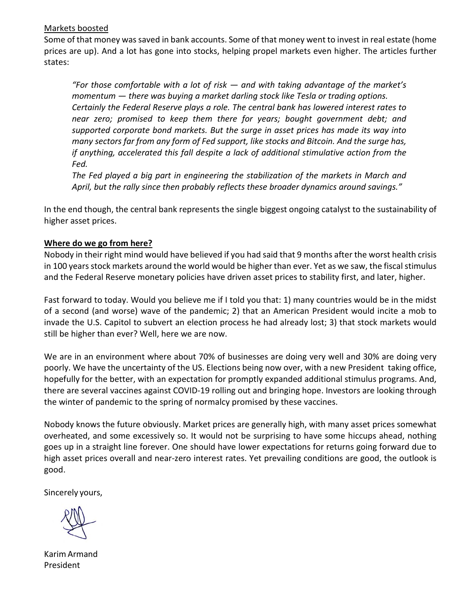## Markets boosted

Some of that money was saved in bank accounts. Some of that money went to invest in real estate (home prices are up). And a lot has gone into stocks, helping propel markets even higher. The articles further states:

*"For those comfortable with a lot of risk — and with taking advantage of the market's momentum — there was buying a market darling stock like Tesla or trading options. Certainly the Federal Reserve plays a role. The central bank has lowered interest rates to near zero; promised to keep them there for years; bought government debt; and supported corporate bond markets. But the surge in asset prices has made its way into many sectors far from any form of Fed support, like stocks and Bitcoin. And the surge has, if anything, accelerated this fall despite a lack of additional stimulative action from the Fed.*

*The Fed played a big part in engineering the stabilization of the markets in March and April, but the rally since then probably reflects these broader dynamics around savings."*

In the end though, the central bank represents the single biggest ongoing catalyst to the sustainability of higher asset prices.

## **Where do we go from here?**

Nobody in their right mind would have believed if you had said that 9 months after the worst health crisis in 100 years stock markets around the world would be higher than ever. Yet as we saw, the fiscal stimulus and the Federal Reserve monetary policies have driven asset prices to stability first, and later, higher.

Fast forward to today. Would you believe me if I told you that: 1) many countries would be in the midst of a second (and worse) wave of the pandemic; 2) that an American President would incite a mob to invade the U.S. Capitol to subvert an election process he had already lost; 3) that stock markets would still be higher than ever? Well, here we are now.

We are in an environment where about 70% of businesses are doing very well and 30% are doing very poorly. We have the uncertainty of the US. Elections being now over, with a new President taking office, hopefully for the better, with an expectation for promptly expanded additional stimulus programs. And, there are several vaccines against COVID-19 rolling out and bringing hope. Investors are looking through the winter of pandemic to the spring of normalcy promised by these vaccines.

Nobody knows the future obviously. Market prices are generally high, with many asset prices somewhat overheated, and some excessively so. It would not be surprising to have some hiccups ahead, nothing goes up in a straight line forever. One should have lower expectations for returns going forward due to high asset prices overall and near-zero interest rates. Yet prevailing conditions are good, the outlook is good.

Sincerely yours,

Karim Armand President